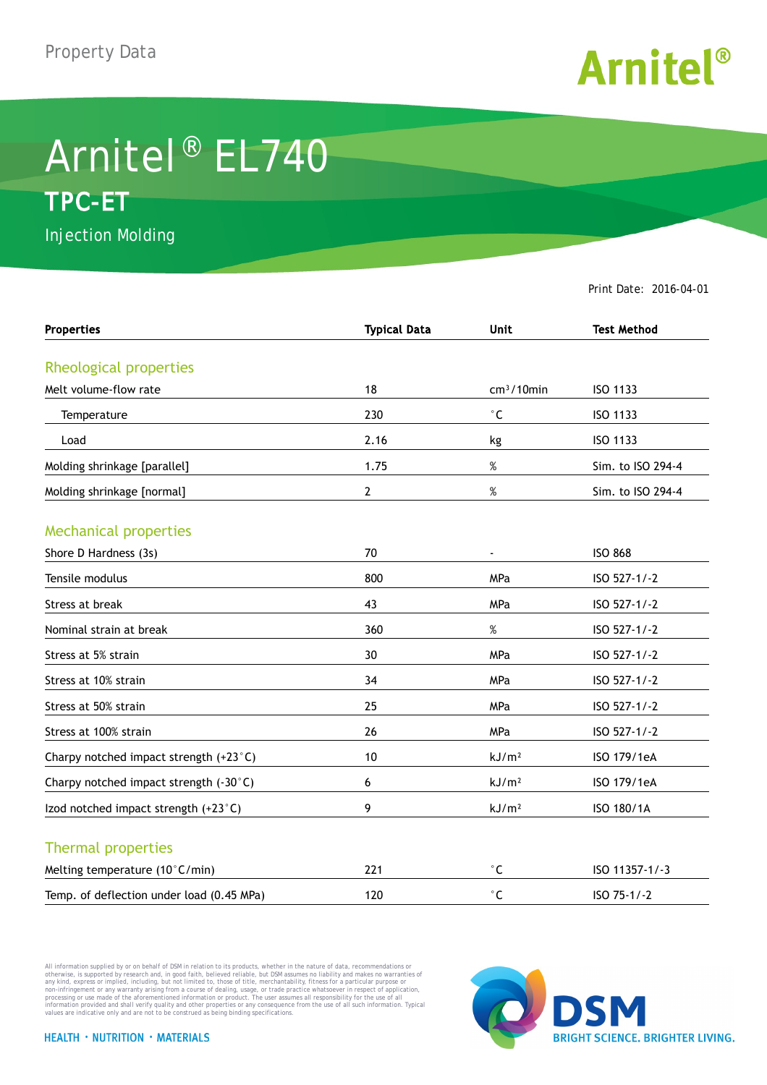

## Arnitel® EL740 **TPC-ET**

Injection Molding

Print Date: 2016-04-01

| <b>Properties</b>                         | <b>Typical Data</b> | <b>Unit</b>         | <b>Test Method</b> |
|-------------------------------------------|---------------------|---------------------|--------------------|
| Rheological properties                    |                     |                     |                    |
| Melt volume-flow rate                     | 18                  | $cm3/10$ min        | ISO 1133           |
| Temperature                               | 230                 | $^\circ \mathsf{C}$ | ISO 1133           |
| Load                                      | 2.16                | kg                  | ISO 1133           |
| Molding shrinkage [parallel]              | 1.75                | $\%$                | Sim. to ISO 294-4  |
| Molding shrinkage [normal]                | 2                   | $\%$                | Sim. to ISO 294-4  |
| <b>Mechanical properties</b>              |                     |                     |                    |
| Shore D Hardness (3s)                     | 70                  | $\blacksquare$      | <b>ISO 868</b>     |
| Tensile modulus                           | 800                 | MPa                 | ISO 527-1/-2       |
| Stress at break                           | 43                  | MPa                 | ISO 527-1/-2       |
| Nominal strain at break                   | 360                 | $\%$                | ISO 527-1/-2       |
| Stress at 5% strain                       | 30                  | <b>MPa</b>          | ISO 527-1/-2       |
| Stress at 10% strain                      | 34                  | MPa                 | ISO 527-1/-2       |
| Stress at 50% strain                      | 25                  | MPa                 | ISO 527-1/-2       |
| Stress at 100% strain                     | 26                  | MPa                 | ISO 527-1/-2       |
| Charpy notched impact strength (+23°C)    | 10                  | kJ/m <sup>2</sup>   | ISO 179/1eA        |
| Charpy notched impact strength (-30°C)    | 6                   | kJ/m <sup>2</sup>   | ISO 179/1eA        |
| Izod notched impact strength (+23°C)      | 9                   | kJ/m <sup>2</sup>   | ISO 180/1A         |
| <b>Thermal properties</b>                 |                     |                     |                    |
| Melting temperature (10°C/min)            | 221                 | $^\circ$ C          | ISO 11357-1/-3     |
| Temp. of deflection under load (0.45 MPa) | 120                 | $^{\circ}$ C        | ISO 75-1/-2        |

All information supplied by or on behalf of DSM in relation to its products, whether in the nature of data, recommendations or others in the matter of the order or the matter of the commendations or others in any kind, exp